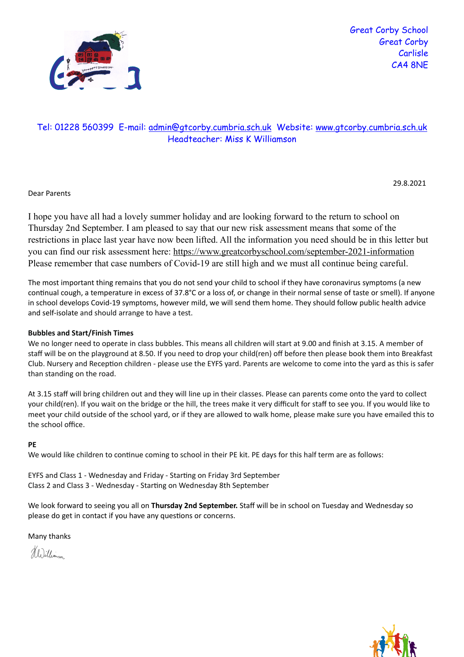

## Tel: 01228 560399 E-mail: [admin@gtcorby.cumbria.sch.uk](mailto:admin@gtcorby.cumbria.sch.uk) Website: [www.gtcorby.cumbria.sch.uk](http://www.gtcorby.cumbria.sch.uk) Headteacher: Miss K Williamson

Dear Parents

I hope you have all had a lovely summer holiday and are looking forward to the return to school on Thursday 2nd September. I am pleased to say that our new risk assessment means that some of the restrictions in place last year have now been lifted. All the information you need should be in this letter but you can find our risk assessment here: https://www.greatcorbyschool.com/september-2021-information Please remember that case numbers of Covid-19 are still high and we must all continue being careful.

The most important thing remains that you do not send your child to school if they have coronavirus symptoms (a new continual cough, a temperature in excess of 37.8°C or a loss of, or change in their normal sense of taste or smell). If anyone in school develops Covid-19 symptoms, however mild, we will send them home. They should follow public health advice and self-isolate and should arrange to have a test.

## **Bubbles and Start/Finish Times**

We no longer need to operate in class bubbles. This means all children will start at 9.00 and finish at 3.15. A member of staff will be on the playground at 8.50. If you need to drop your child(ren) off before then please book them into Breakfast Club. Nursery and Reception children - please use the EYFS yard. Parents are welcome to come into the yard as this is safer than standing on the road.

At 3.15 staff will bring children out and they will line up in their classes. Please can parents come onto the yard to collect your child(ren). If you wait on the bridge or the hill, the trees make it very difficult for staff to see you. If you would like to meet your child outside of the school yard, or if they are allowed to walk home, please make sure you have emailed this to the school office.

## **PE**

We would like children to continue coming to school in their PE kit. PE days for this half term are as follows:

EYFS and Class 1 - Wednesday and Friday - Starting on Friday 3rd September Class 2 and Class 3 - Wednesday - Starting on Wednesday 8th September

We look forward to seeing you all on **Thursday 2nd September.** Staff will be in school on Tuesday and Wednesday so please do get in contact if you have any questions or concerns.

Many thanks

Hillimm



29.8.2021